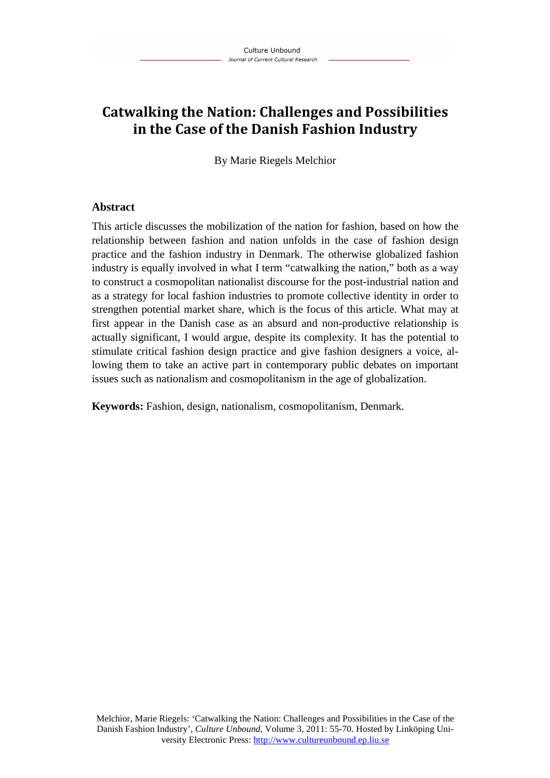# **Catwalking the Nation: Challenges and Possibilities in the Case of the Danish Fashion Industry**

By Marie Riegels Melchior

## **Abstract**

This article discusses the mobilization of the nation for fashion, based on how the relationship between fashion and nation unfolds in the case of fashion design practice and the fashion industry in Denmark. The otherwise globalized fashion industry is equally involved in what I term "catwalking the nation," both as a way to construct a cosmopolitan nationalist discourse for the post-industrial nation and as a strategy for local fashion industries to promote collective identity in order to strengthen potential market share, which is the focus of this article. What may at first appear in the Danish case as an absurd and non-productive relationship is actually significant, I would argue, despite its complexity. It has the potential to stimulate critical fashion design practice and give fashion designers a voice, allowing them to take an active part in contemporary public debates on important issues such as nationalism and cosmopolitanism in the age of globalization.

**Keywords:** Fashion, design, nationalism, cosmopolitanism, Denmark.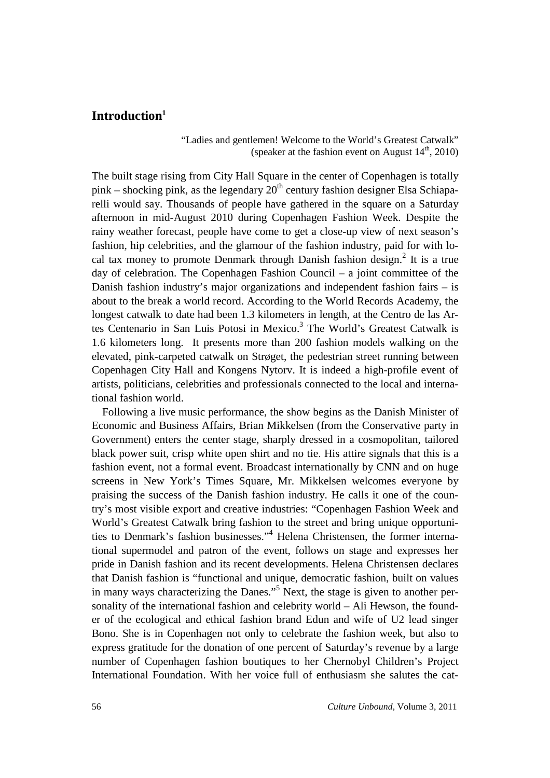# **Introduction<sup>1</sup>**

"Ladies and gentlemen! Welcome to the World's Greatest Catwalk" (speaker at the fashion event on August  $14<sup>th</sup>$ , 2010)

The built stage rising from City Hall Square in the center of Copenhagen is totally pink – shocking pink, as the legendary  $20<sup>th</sup>$  century fashion designer Elsa Schiaparelli would say. Thousands of people have gathered in the square on a Saturday afternoon in mid-August 2010 during Copenhagen Fashion Week. Despite the rainy weather forecast, people have come to get a close-up view of next season's fashion, hip celebrities, and the glamour of the fashion industry, paid for with local tax money to promote Denmark through Danish fashion design.<sup>2</sup> It is a true day of celebration. The Copenhagen Fashion Council – a joint committee of the Danish fashion industry's major organizations and independent fashion fairs – is about to the break a world record. According to the World Records Academy, the longest catwalk to date had been 1.3 kilometers in length, at the Centro de las Artes Centenario in San Luis Potosi in Mexico.<sup>3</sup> The World's Greatest Catwalk is 1.6 kilometers long. It presents more than 200 fashion models walking on the elevated, pink-carpeted catwalk on Strøget, the pedestrian street running between Copenhagen City Hall and Kongens Nytorv. It is indeed a high-profile event of artists, politicians, celebrities and professionals connected to the local and international fashion world.

Following a live music performance, the show begins as the Danish Minister of Economic and Business Affairs, Brian Mikkelsen (from the Conservative party in Government) enters the center stage, sharply dressed in a cosmopolitan, tailored black power suit, crisp white open shirt and no tie. His attire signals that this is a fashion event, not a formal event. Broadcast internationally by CNN and on huge screens in New York's Times Square, Mr. Mikkelsen welcomes everyone by praising the success of the Danish fashion industry. He calls it one of the country's most visible export and creative industries: "Copenhagen Fashion Week and World's Greatest Catwalk bring fashion to the street and bring unique opportunities to Denmark's fashion businesses."<sup>4</sup> Helena Christensen, the former international supermodel and patron of the event, follows on stage and expresses her pride in Danish fashion and its recent developments. Helena Christensen declares that Danish fashion is "functional and unique, democratic fashion, built on values in many ways characterizing the Danes."<sup>5</sup> Next, the stage is given to another personality of the international fashion and celebrity world – Ali Hewson, the founder of the ecological and ethical fashion brand Edun and wife of U2 lead singer Bono. She is in Copenhagen not only to celebrate the fashion week, but also to express gratitude for the donation of one percent of Saturday's revenue by a large number of Copenhagen fashion boutiques to her Chernobyl Children's Project International Foundation. With her voice full of enthusiasm she salutes the cat-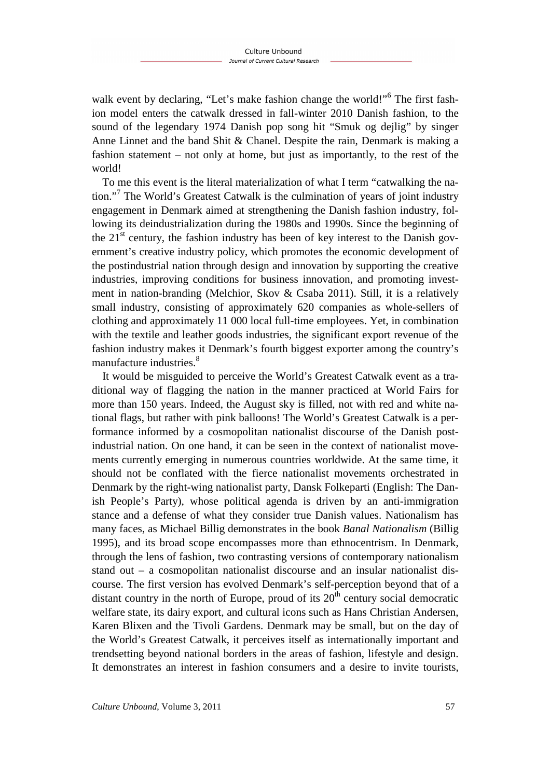walk event by declaring, "Let's make fashion change the world!"<sup>6</sup> The first fashion model enters the catwalk dressed in fall-winter 2010 Danish fashion, to the sound of the legendary 1974 Danish pop song hit "Smuk og dejlig" by singer Anne Linnet and the band Shit & Chanel. Despite the rain, Denmark is making a fashion statement – not only at home, but just as importantly, to the rest of the world!

To me this event is the literal materialization of what I term "catwalking the nation."<sup>7</sup> The World's Greatest Catwalk is the culmination of years of joint industry engagement in Denmark aimed at strengthening the Danish fashion industry, following its deindustrialization during the 1980s and 1990s. Since the beginning of the  $21<sup>st</sup>$  century, the fashion industry has been of key interest to the Danish government's creative industry policy, which promotes the economic development of the postindustrial nation through design and innovation by supporting the creative industries, improving conditions for business innovation, and promoting investment in nation-branding (Melchior, Skov & Csaba 2011). Still, it is a relatively small industry, consisting of approximately 620 companies as whole-sellers of clothing and approximately 11 000 local full-time employees. Yet, in combination with the textile and leather goods industries, the significant export revenue of the fashion industry makes it Denmark's fourth biggest exporter among the country's manufacture industries.<sup>8</sup>

It would be misguided to perceive the World's Greatest Catwalk event as a traditional way of flagging the nation in the manner practiced at World Fairs for more than 150 years. Indeed, the August sky is filled, not with red and white national flags, but rather with pink balloons! The World's Greatest Catwalk is a performance informed by a cosmopolitan nationalist discourse of the Danish postindustrial nation. On one hand, it can be seen in the context of nationalist movements currently emerging in numerous countries worldwide. At the same time, it should not be conflated with the fierce nationalist movements orchestrated in Denmark by the right-wing nationalist party, Dansk Folkeparti (English: The Danish People's Party), whose political agenda is driven by an anti-immigration stance and a defense of what they consider true Danish values. Nationalism has many faces, as Michael Billig demonstrates in the book *Banal Nationalism* (Billig 1995), and its broad scope encompasses more than ethnocentrism. In Denmark, through the lens of fashion, two contrasting versions of contemporary nationalism stand out – a cosmopolitan nationalist discourse and an insular nationalist discourse. The first version has evolved Denmark's self-perception beyond that of a distant country in the north of Europe, proud of its  $20<sup>th</sup>$  century social democratic welfare state, its dairy export, and cultural icons such as Hans Christian Andersen, Karen Blixen and the Tivoli Gardens. Denmark may be small, but on the day of the World's Greatest Catwalk, it perceives itself as internationally important and trendsetting beyond national borders in the areas of fashion, lifestyle and design. It demonstrates an interest in fashion consumers and a desire to invite tourists,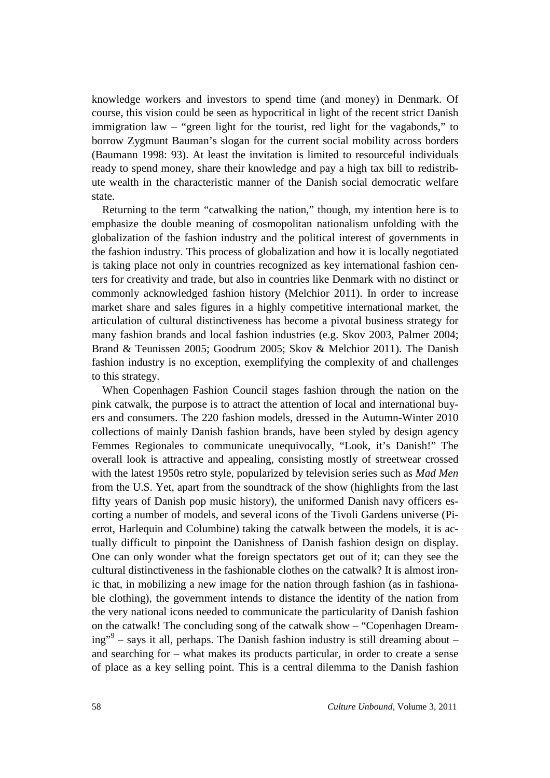knowledge workers and investors to spend time (and money) in Denmark. Of course, this vision could be seen as hypocritical in light of the recent strict Danish immigration law – "green light for the tourist, red light for the vagabonds," to borrow Zygmunt Bauman's slogan for the current social mobility across borders (Baumann 1998: 93). At least the invitation is limited to resourceful individuals ready to spend money, share their knowledge and pay a high tax bill to redistribute wealth in the characteristic manner of the Danish social democratic welfare state.

Returning to the term "catwalking the nation," though, my intention here is to emphasize the double meaning of cosmopolitan nationalism unfolding with the globalization of the fashion industry and the political interest of governments in the fashion industry. This process of globalization and how it is locally negotiated is taking place not only in countries recognized as key international fashion centers for creativity and trade, but also in countries like Denmark with no distinct or commonly acknowledged fashion history (Melchior 2011). In order to increase market share and sales figures in a highly competitive international market, the articulation of cultural distinctiveness has become a pivotal business strategy for many fashion brands and local fashion industries (e.g. Skov 2003, Palmer 2004; Brand & Teunissen 2005; Goodrum 2005; Skov & Melchior 2011). The Danish fashion industry is no exception, exemplifying the complexity of and challenges to this strategy.

When Copenhagen Fashion Council stages fashion through the nation on the pink catwalk, the purpose is to attract the attention of local and international buyers and consumers. The 220 fashion models, dressed in the Autumn-Winter 2010 collections of mainly Danish fashion brands, have been styled by design agency Femmes Regionales to communicate unequivocally, "Look, it's Danish!" The overall look is attractive and appealing, consisting mostly of streetwear crossed with the latest 1950s retro style, popularized by television series such as *Mad Men* from the U.S. Yet, apart from the soundtrack of the show (highlights from the last fifty years of Danish pop music history), the uniformed Danish navy officers escorting a number of models, and several icons of the Tivoli Gardens universe (Pierrot, Harlequin and Columbine) taking the catwalk between the models, it is actually difficult to pinpoint the Danishness of Danish fashion design on display. One can only wonder what the foreign spectators get out of it; can they see the cultural distinctiveness in the fashionable clothes on the catwalk? It is almost ironic that, in mobilizing a new image for the nation through fashion (as in fashionable clothing), the government intends to distance the identity of the nation from the very national icons needed to communicate the particularity of Danish fashion on the catwalk! The concluding song of the catwalk show – "Copenhagen Dreaming"<sup>9</sup> – says it all, perhaps. The Danish fashion industry is still dreaming about – and searching for – what makes its products particular, in order to create a sense of place as a key selling point. This is a central dilemma to the Danish fashion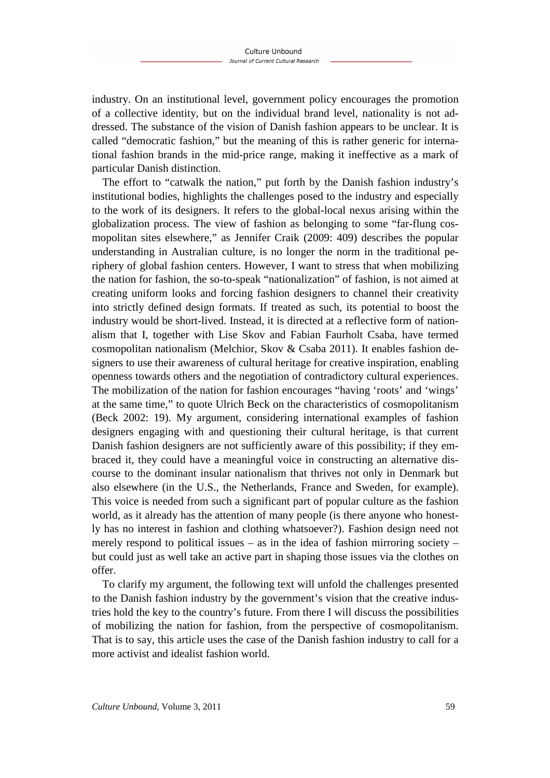industry. On an institutional level, government policy encourages the promotion of a collective identity, but on the individual brand level, nationality is not addressed. The substance of the vision of Danish fashion appears to be unclear. It is called "democratic fashion," but the meaning of this is rather generic for international fashion brands in the mid-price range, making it ineffective as a mark of particular Danish distinction.

The effort to "catwalk the nation," put forth by the Danish fashion industry's institutional bodies, highlights the challenges posed to the industry and especially to the work of its designers. It refers to the global-local nexus arising within the globalization process. The view of fashion as belonging to some "far-flung cosmopolitan sites elsewhere," as Jennifer Craik (2009: 409) describes the popular understanding in Australian culture, is no longer the norm in the traditional periphery of global fashion centers. However, I want to stress that when mobilizing the nation for fashion, the so-to-speak "nationalization" of fashion, is not aimed at creating uniform looks and forcing fashion designers to channel their creativity into strictly defined design formats. If treated as such, its potential to boost the industry would be short-lived. Instead, it is directed at a reflective form of nationalism that I, together with Lise Skov and Fabian Faurholt Csaba, have termed cosmopolitan nationalism (Melchior, Skov & Csaba 2011). It enables fashion designers to use their awareness of cultural heritage for creative inspiration, enabling openness towards others and the negotiation of contradictory cultural experiences. The mobilization of the nation for fashion encourages "having 'roots' and 'wings' at the same time," to quote Ulrich Beck on the characteristics of cosmopolitanism (Beck 2002: 19). My argument, considering international examples of fashion designers engaging with and questioning their cultural heritage, is that current Danish fashion designers are not sufficiently aware of this possibility; if they embraced it, they could have a meaningful voice in constructing an alternative discourse to the dominant insular nationalism that thrives not only in Denmark but also elsewhere (in the U.S., the Netherlands, France and Sweden, for example). This voice is needed from such a significant part of popular culture as the fashion world, as it already has the attention of many people (is there anyone who honestly has no interest in fashion and clothing whatsoever?). Fashion design need not merely respond to political issues – as in the idea of fashion mirroring society – but could just as well take an active part in shaping those issues via the clothes on offer.

To clarify my argument, the following text will unfold the challenges presented to the Danish fashion industry by the government's vision that the creative industries hold the key to the country's future. From there I will discuss the possibilities of mobilizing the nation for fashion, from the perspective of cosmopolitanism. That is to say, this article uses the case of the Danish fashion industry to call for a more activist and idealist fashion world.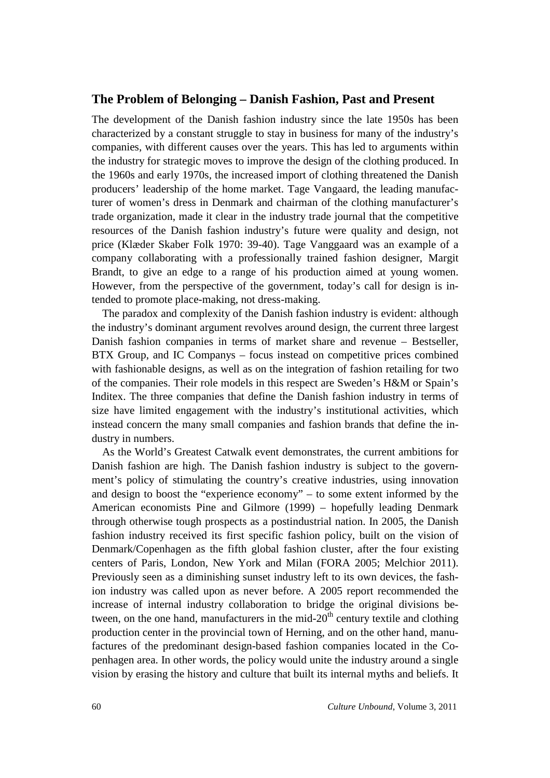#### **The Problem of Belonging – Danish Fashion, Past and Present**

The development of the Danish fashion industry since the late 1950s has been characterized by a constant struggle to stay in business for many of the industry's companies, with different causes over the years. This has led to arguments within the industry for strategic moves to improve the design of the clothing produced. In the 1960s and early 1970s, the increased import of clothing threatened the Danish producers' leadership of the home market. Tage Vangaard, the leading manufacturer of women's dress in Denmark and chairman of the clothing manufacturer's trade organization, made it clear in the industry trade journal that the competitive resources of the Danish fashion industry's future were quality and design, not price (Klæder Skaber Folk 1970: 39-40). Tage Vanggaard was an example of a company collaborating with a professionally trained fashion designer, Margit Brandt, to give an edge to a range of his production aimed at young women. However, from the perspective of the government, today's call for design is intended to promote place-making, not dress-making.

The paradox and complexity of the Danish fashion industry is evident: although the industry's dominant argument revolves around design, the current three largest Danish fashion companies in terms of market share and revenue – Bestseller, BTX Group, and IC Companys – focus instead on competitive prices combined with fashionable designs, as well as on the integration of fashion retailing for two of the companies. Their role models in this respect are Sweden's H&M or Spain's Inditex. The three companies that define the Danish fashion industry in terms of size have limited engagement with the industry's institutional activities, which instead concern the many small companies and fashion brands that define the industry in numbers.

As the World's Greatest Catwalk event demonstrates, the current ambitions for Danish fashion are high. The Danish fashion industry is subject to the government's policy of stimulating the country's creative industries, using innovation and design to boost the "experience economy" – to some extent informed by the American economists Pine and Gilmore (1999) – hopefully leading Denmark through otherwise tough prospects as a postindustrial nation. In 2005, the Danish fashion industry received its first specific fashion policy, built on the vision of Denmark/Copenhagen as the fifth global fashion cluster, after the four existing centers of Paris, London, New York and Milan (FORA 2005; Melchior 2011). Previously seen as a diminishing sunset industry left to its own devices, the fashion industry was called upon as never before. A 2005 report recommended the increase of internal industry collaboration to bridge the original divisions between, on the one hand, manufacturers in the mid- $20<sup>th</sup>$  century textile and clothing production center in the provincial town of Herning, and on the other hand, manufactures of the predominant design-based fashion companies located in the Copenhagen area. In other words, the policy would unite the industry around a single vision by erasing the history and culture that built its internal myths and beliefs. It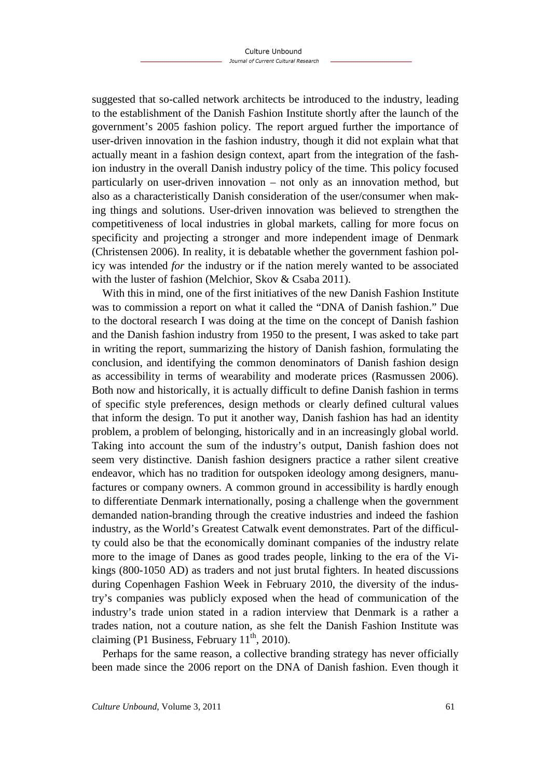suggested that so-called network architects be introduced to the industry, leading to the establishment of the Danish Fashion Institute shortly after the launch of the government's 2005 fashion policy. The report argued further the importance of user-driven innovation in the fashion industry, though it did not explain what that actually meant in a fashion design context, apart from the integration of the fashion industry in the overall Danish industry policy of the time. This policy focused particularly on user-driven innovation – not only as an innovation method, but also as a characteristically Danish consideration of the user/consumer when making things and solutions. User-driven innovation was believed to strengthen the competitiveness of local industries in global markets, calling for more focus on specificity and projecting a stronger and more independent image of Denmark (Christensen 2006). In reality, it is debatable whether the government fashion policy was intended *for* the industry or if the nation merely wanted to be associated with the luster of fashion (Melchior, Skov & Csaba 2011).

With this in mind, one of the first initiatives of the new Danish Fashion Institute was to commission a report on what it called the "DNA of Danish fashion." Due to the doctoral research I was doing at the time on the concept of Danish fashion and the Danish fashion industry from 1950 to the present, I was asked to take part in writing the report, summarizing the history of Danish fashion, formulating the conclusion, and identifying the common denominators of Danish fashion design as accessibility in terms of wearability and moderate prices (Rasmussen 2006). Both now and historically, it is actually difficult to define Danish fashion in terms of specific style preferences, design methods or clearly defined cultural values that inform the design. To put it another way, Danish fashion has had an identity problem, a problem of belonging, historically and in an increasingly global world. Taking into account the sum of the industry's output, Danish fashion does not seem very distinctive. Danish fashion designers practice a rather silent creative endeavor, which has no tradition for outspoken ideology among designers, manufactures or company owners. A common ground in accessibility is hardly enough to differentiate Denmark internationally, posing a challenge when the government demanded nation-branding through the creative industries and indeed the fashion industry, as the World's Greatest Catwalk event demonstrates. Part of the difficulty could also be that the economically dominant companies of the industry relate more to the image of Danes as good trades people, linking to the era of the Vikings (800-1050 AD) as traders and not just brutal fighters. In heated discussions during Copenhagen Fashion Week in February 2010, the diversity of the industry's companies was publicly exposed when the head of communication of the industry's trade union stated in a radion interview that Denmark is a rather a trades nation, not a couture nation, as she felt the Danish Fashion Institute was claiming (P1 Business, February  $11<sup>th</sup>$ , 2010).

Perhaps for the same reason, a collective branding strategy has never officially been made since the 2006 report on the DNA of Danish fashion. Even though it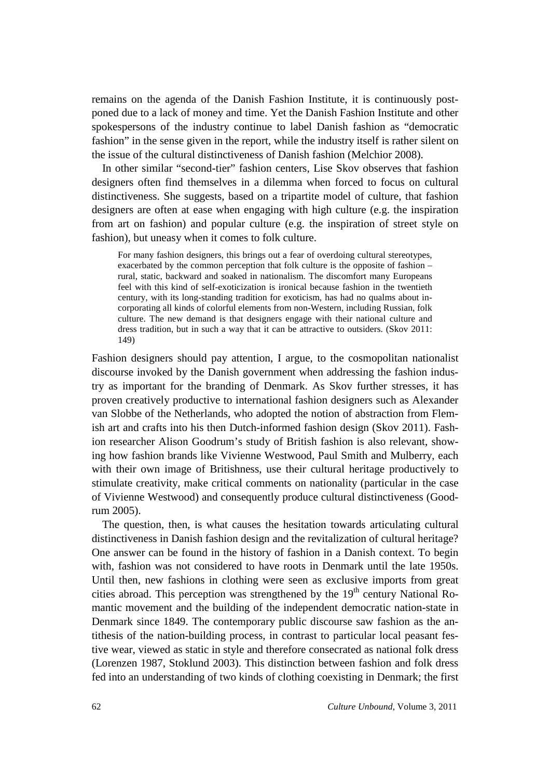remains on the agenda of the Danish Fashion Institute, it is continuously postponed due to a lack of money and time. Yet the Danish Fashion Institute and other spokespersons of the industry continue to label Danish fashion as "democratic fashion" in the sense given in the report, while the industry itself is rather silent on the issue of the cultural distinctiveness of Danish fashion (Melchior 2008).

In other similar "second-tier" fashion centers, Lise Skov observes that fashion designers often find themselves in a dilemma when forced to focus on cultural distinctiveness. She suggests, based on a tripartite model of culture, that fashion designers are often at ease when engaging with high culture (e.g. the inspiration from art on fashion) and popular culture (e.g. the inspiration of street style on fashion), but uneasy when it comes to folk culture.

For many fashion designers, this brings out a fear of overdoing cultural stereotypes, exacerbated by the common perception that folk culture is the opposite of fashion – rural, static, backward and soaked in nationalism. The discomfort many Europeans feel with this kind of self-exoticization is ironical because fashion in the twentieth century, with its long-standing tradition for exoticism, has had no qualms about incorporating all kinds of colorful elements from non-Western, including Russian, folk culture. The new demand is that designers engage with their national culture and dress tradition, but in such a way that it can be attractive to outsiders. (Skov 2011: 149)

Fashion designers should pay attention, I argue, to the cosmopolitan nationalist discourse invoked by the Danish government when addressing the fashion industry as important for the branding of Denmark. As Skov further stresses, it has proven creatively productive to international fashion designers such as Alexander van Slobbe of the Netherlands, who adopted the notion of abstraction from Flemish art and crafts into his then Dutch-informed fashion design (Skov 2011). Fashion researcher Alison Goodrum's study of British fashion is also relevant, showing how fashion brands like Vivienne Westwood, Paul Smith and Mulberry, each with their own image of Britishness, use their cultural heritage productively to stimulate creativity, make critical comments on nationality (particular in the case of Vivienne Westwood) and consequently produce cultural distinctiveness (Goodrum 2005).

The question, then, is what causes the hesitation towards articulating cultural distinctiveness in Danish fashion design and the revitalization of cultural heritage? One answer can be found in the history of fashion in a Danish context. To begin with, fashion was not considered to have roots in Denmark until the late 1950s. Until then, new fashions in clothing were seen as exclusive imports from great cities abroad. This perception was strengthened by the  $19<sup>th</sup>$  century National Romantic movement and the building of the independent democratic nation-state in Denmark since 1849. The contemporary public discourse saw fashion as the antithesis of the nation-building process, in contrast to particular local peasant festive wear, viewed as static in style and therefore consecrated as national folk dress (Lorenzen 1987, Stoklund 2003). This distinction between fashion and folk dress fed into an understanding of two kinds of clothing coexisting in Denmark; the first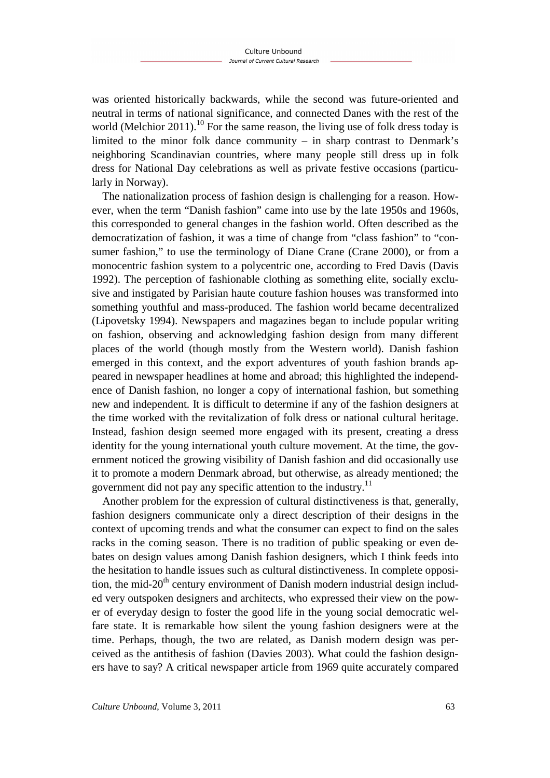was oriented historically backwards, while the second was future-oriented and neutral in terms of national significance, and connected Danes with the rest of the world (Melchior 2011).<sup>10</sup> For the same reason, the living use of folk dress today is limited to the minor folk dance community – in sharp contrast to Denmark's neighboring Scandinavian countries, where many people still dress up in folk dress for National Day celebrations as well as private festive occasions (particularly in Norway).

The nationalization process of fashion design is challenging for a reason. However, when the term "Danish fashion" came into use by the late 1950s and 1960s, this corresponded to general changes in the fashion world. Often described as the democratization of fashion, it was a time of change from "class fashion" to "consumer fashion," to use the terminology of Diane Crane (Crane 2000), or from a monocentric fashion system to a polycentric one, according to Fred Davis (Davis 1992). The perception of fashionable clothing as something elite, socially exclusive and instigated by Parisian haute couture fashion houses was transformed into something youthful and mass-produced. The fashion world became decentralized (Lipovetsky 1994). Newspapers and magazines began to include popular writing on fashion, observing and acknowledging fashion design from many different places of the world (though mostly from the Western world). Danish fashion emerged in this context, and the export adventures of youth fashion brands appeared in newspaper headlines at home and abroad; this highlighted the independence of Danish fashion, no longer a copy of international fashion, but something new and independent. It is difficult to determine if any of the fashion designers at the time worked with the revitalization of folk dress or national cultural heritage. Instead, fashion design seemed more engaged with its present, creating a dress identity for the young international youth culture movement. At the time, the government noticed the growing visibility of Danish fashion and did occasionally use it to promote a modern Denmark abroad, but otherwise, as already mentioned; the government did not pay any specific attention to the industry.<sup>11</sup>

Another problem for the expression of cultural distinctiveness is that, generally, fashion designers communicate only a direct description of their designs in the context of upcoming trends and what the consumer can expect to find on the sales racks in the coming season. There is no tradition of public speaking or even debates on design values among Danish fashion designers, which I think feeds into the hesitation to handle issues such as cultural distinctiveness. In complete opposition, the mid- $20<sup>th</sup>$  century environment of Danish modern industrial design included very outspoken designers and architects, who expressed their view on the power of everyday design to foster the good life in the young social democratic welfare state. It is remarkable how silent the young fashion designers were at the time. Perhaps, though, the two are related, as Danish modern design was perceived as the antithesis of fashion (Davies 2003). What could the fashion designers have to say? A critical newspaper article from 1969 quite accurately compared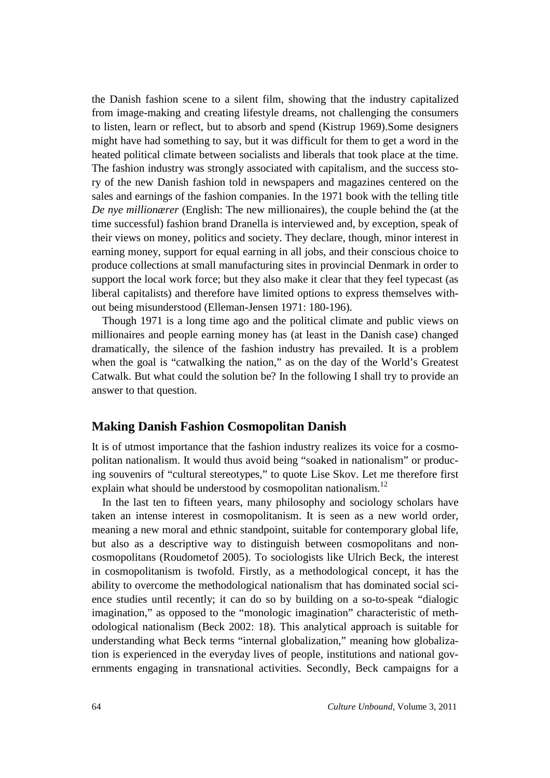the Danish fashion scene to a silent film, showing that the industry capitalized from image-making and creating lifestyle dreams, not challenging the consumers to listen, learn or reflect, but to absorb and spend (Kistrup 1969).Some designers might have had something to say, but it was difficult for them to get a word in the heated political climate between socialists and liberals that took place at the time. The fashion industry was strongly associated with capitalism, and the success story of the new Danish fashion told in newspapers and magazines centered on the sales and earnings of the fashion companies. In the 1971 book with the telling title *De nye millionærer* (English: The new millionaires), the couple behind the (at the time successful) fashion brand Dranella is interviewed and, by exception, speak of their views on money, politics and society. They declare, though, minor interest in earning money, support for equal earning in all jobs, and their conscious choice to produce collections at small manufacturing sites in provincial Denmark in order to support the local work force; but they also make it clear that they feel typecast (as liberal capitalists) and therefore have limited options to express themselves without being misunderstood (Elleman-Jensen 1971: 180-196).

Though 1971 is a long time ago and the political climate and public views on millionaires and people earning money has (at least in the Danish case) changed dramatically, the silence of the fashion industry has prevailed. It is a problem when the goal is "catwalking the nation," as on the day of the World's Greatest Catwalk. But what could the solution be? In the following I shall try to provide an answer to that question.

#### **Making Danish Fashion Cosmopolitan Danish**

It is of utmost importance that the fashion industry realizes its voice for a cosmopolitan nationalism. It would thus avoid being "soaked in nationalism" or producing souvenirs of "cultural stereotypes," to quote Lise Skov. Let me therefore first explain what should be understood by cosmopolitan nationalism.<sup>12</sup>

In the last ten to fifteen years, many philosophy and sociology scholars have taken an intense interest in cosmopolitanism. It is seen as a new world order, meaning a new moral and ethnic standpoint, suitable for contemporary global life, but also as a descriptive way to distinguish between cosmopolitans and noncosmopolitans (Roudometof 2005). To sociologists like Ulrich Beck, the interest in cosmopolitanism is twofold. Firstly, as a methodological concept, it has the ability to overcome the methodological nationalism that has dominated social science studies until recently; it can do so by building on a so-to-speak "dialogic imagination," as opposed to the "monologic imagination" characteristic of methodological nationalism (Beck 2002: 18). This analytical approach is suitable for understanding what Beck terms "internal globalization," meaning how globalization is experienced in the everyday lives of people, institutions and national governments engaging in transnational activities. Secondly, Beck campaigns for a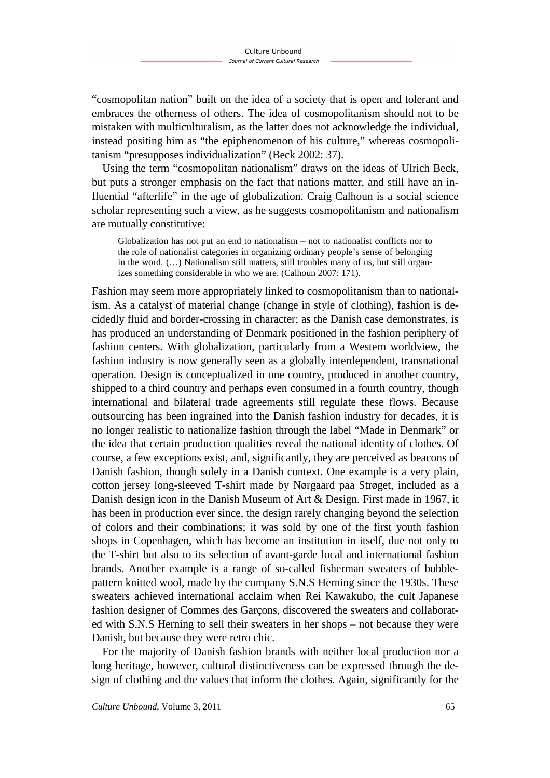"cosmopolitan nation" built on the idea of a society that is open and tolerant and embraces the otherness of others. The idea of cosmopolitanism should not to be mistaken with multiculturalism, as the latter does not acknowledge the individual, instead positing him as "the epiphenomenon of his culture," whereas cosmopolitanism "presupposes individualization" (Beck 2002: 37).

Using the term "cosmopolitan nationalism" draws on the ideas of Ulrich Beck, but puts a stronger emphasis on the fact that nations matter, and still have an influential "afterlife" in the age of globalization. Craig Calhoun is a social science scholar representing such a view, as he suggests cosmopolitanism and nationalism are mutually constitutive:

Globalization has not put an end to nationalism – not to nationalist conflicts nor to the role of nationalist categories in organizing ordinary people's sense of belonging in the word. (…) Nationalism still matters, still troubles many of us, but still organizes something considerable in who we are. (Calhoun 2007: 171).

Fashion may seem more appropriately linked to cosmopolitanism than to nationalism. As a catalyst of material change (change in style of clothing), fashion is decidedly fluid and border-crossing in character; as the Danish case demonstrates, is has produced an understanding of Denmark positioned in the fashion periphery of fashion centers. With globalization, particularly from a Western worldview, the fashion industry is now generally seen as a globally interdependent, transnational operation. Design is conceptualized in one country, produced in another country, shipped to a third country and perhaps even consumed in a fourth country, though international and bilateral trade agreements still regulate these flows. Because outsourcing has been ingrained into the Danish fashion industry for decades, it is no longer realistic to nationalize fashion through the label "Made in Denmark" or the idea that certain production qualities reveal the national identity of clothes. Of course, a few exceptions exist, and, significantly, they are perceived as beacons of Danish fashion, though solely in a Danish context. One example is a very plain, cotton jersey long-sleeved T-shirt made by Nørgaard paa Strøget, included as a Danish design icon in the Danish Museum of Art & Design. First made in 1967, it has been in production ever since, the design rarely changing beyond the selection of colors and their combinations; it was sold by one of the first youth fashion shops in Copenhagen, which has become an institution in itself, due not only to the T-shirt but also to its selection of avant-garde local and international fashion brands. Another example is a range of so-called fisherman sweaters of bubblepattern knitted wool, made by the company S.N.S Herning since the 1930s. These sweaters achieved international acclaim when Rei Kawakubo, the cult Japanese fashion designer of Commes des Garçons, discovered the sweaters and collaborated with S.N.S Herning to sell their sweaters in her shops – not because they were Danish, but because they were retro chic.

For the majority of Danish fashion brands with neither local production nor a long heritage, however, cultural distinctiveness can be expressed through the design of clothing and the values that inform the clothes. Again, significantly for the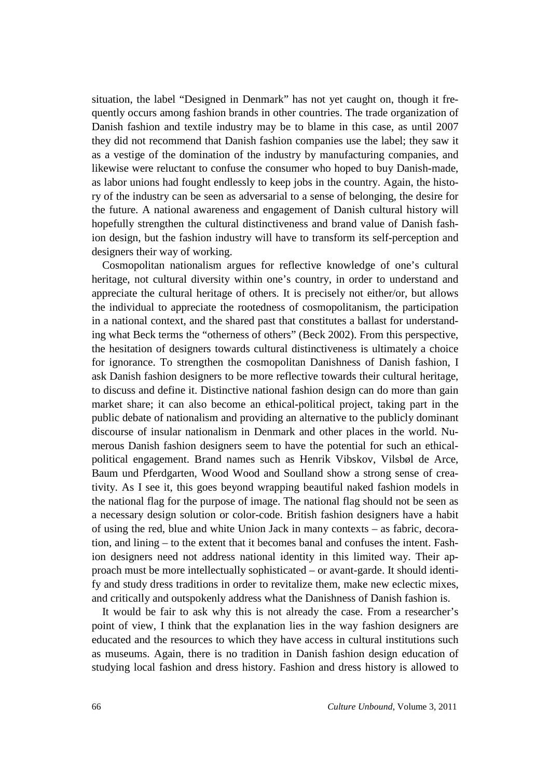situation, the label "Designed in Denmark" has not yet caught on, though it frequently occurs among fashion brands in other countries. The trade organization of Danish fashion and textile industry may be to blame in this case, as until 2007 they did not recommend that Danish fashion companies use the label; they saw it as a vestige of the domination of the industry by manufacturing companies, and likewise were reluctant to confuse the consumer who hoped to buy Danish-made, as labor unions had fought endlessly to keep jobs in the country. Again, the history of the industry can be seen as adversarial to a sense of belonging, the desire for the future. A national awareness and engagement of Danish cultural history will hopefully strengthen the cultural distinctiveness and brand value of Danish fashion design, but the fashion industry will have to transform its self-perception and designers their way of working.

Cosmopolitan nationalism argues for reflective knowledge of one's cultural heritage, not cultural diversity within one's country, in order to understand and appreciate the cultural heritage of others. It is precisely not either/or, but allows the individual to appreciate the rootedness of cosmopolitanism, the participation in a national context, and the shared past that constitutes a ballast for understanding what Beck terms the "otherness of others" (Beck 2002). From this perspective, the hesitation of designers towards cultural distinctiveness is ultimately a choice for ignorance. To strengthen the cosmopolitan Danishness of Danish fashion, I ask Danish fashion designers to be more reflective towards their cultural heritage, to discuss and define it. Distinctive national fashion design can do more than gain market share; it can also become an ethical-political project, taking part in the public debate of nationalism and providing an alternative to the publicly dominant discourse of insular nationalism in Denmark and other places in the world. Numerous Danish fashion designers seem to have the potential for such an ethicalpolitical engagement. Brand names such as Henrik Vibskov, Vilsbøl de Arce, Baum und Pferdgarten, Wood Wood and Soulland show a strong sense of creativity. As I see it, this goes beyond wrapping beautiful naked fashion models in the national flag for the purpose of image. The national flag should not be seen as a necessary design solution or color-code. British fashion designers have a habit of using the red, blue and white Union Jack in many contexts – as fabric, decoration, and lining – to the extent that it becomes banal and confuses the intent. Fashion designers need not address national identity in this limited way. Their approach must be more intellectually sophisticated – or avant-garde. It should identify and study dress traditions in order to revitalize them, make new eclectic mixes, and critically and outspokenly address what the Danishness of Danish fashion is.

It would be fair to ask why this is not already the case. From a researcher's point of view, I think that the explanation lies in the way fashion designers are educated and the resources to which they have access in cultural institutions such as museums. Again, there is no tradition in Danish fashion design education of studying local fashion and dress history. Fashion and dress history is allowed to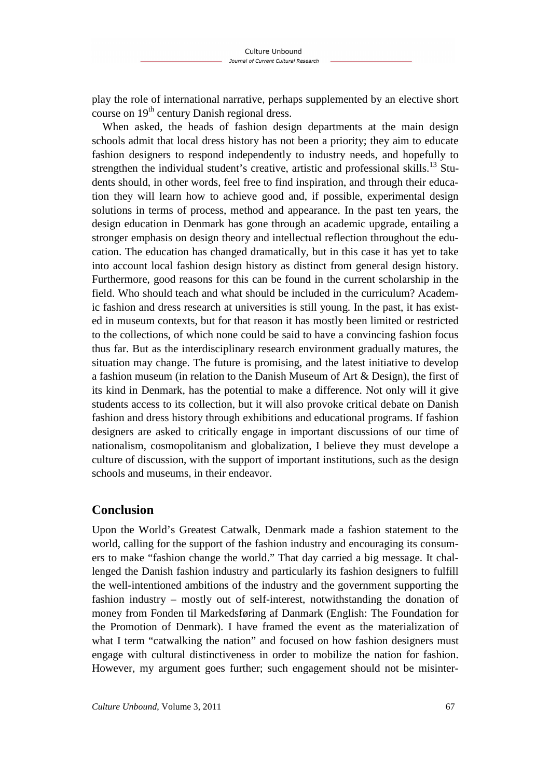play the role of international narrative, perhaps supplemented by an elective short course on  $19<sup>th</sup>$  century Danish regional dress.

When asked, the heads of fashion design departments at the main design schools admit that local dress history has not been a priority; they aim to educate fashion designers to respond independently to industry needs, and hopefully to strengthen the individual student's creative, artistic and professional skills.<sup>13</sup> Students should, in other words, feel free to find inspiration, and through their education they will learn how to achieve good and, if possible, experimental design solutions in terms of process, method and appearance. In the past ten years, the design education in Denmark has gone through an academic upgrade, entailing a stronger emphasis on design theory and intellectual reflection throughout the education. The education has changed dramatically, but in this case it has yet to take into account local fashion design history as distinct from general design history. Furthermore, good reasons for this can be found in the current scholarship in the field. Who should teach and what should be included in the curriculum? Academic fashion and dress research at universities is still young. In the past, it has existed in museum contexts, but for that reason it has mostly been limited or restricted to the collections, of which none could be said to have a convincing fashion focus thus far. But as the interdisciplinary research environment gradually matures, the situation may change. The future is promising, and the latest initiative to develop a fashion museum (in relation to the Danish Museum of Art & Design), the first of its kind in Denmark, has the potential to make a difference. Not only will it give students access to its collection, but it will also provoke critical debate on Danish fashion and dress history through exhibitions and educational programs. If fashion designers are asked to critically engage in important discussions of our time of nationalism, cosmopolitanism and globalization, I believe they must develope a culture of discussion, with the support of important institutions, such as the design schools and museums, in their endeavor.

# **Conclusion**

Upon the World's Greatest Catwalk, Denmark made a fashion statement to the world, calling for the support of the fashion industry and encouraging its consumers to make "fashion change the world." That day carried a big message. It challenged the Danish fashion industry and particularly its fashion designers to fulfill the well-intentioned ambitions of the industry and the government supporting the fashion industry – mostly out of self-interest, notwithstanding the donation of money from Fonden til Markedsføring af Danmark (English: The Foundation for the Promotion of Denmark). I have framed the event as the materialization of what I term "catwalking the nation" and focused on how fashion designers must engage with cultural distinctiveness in order to mobilize the nation for fashion. However, my argument goes further; such engagement should not be misinter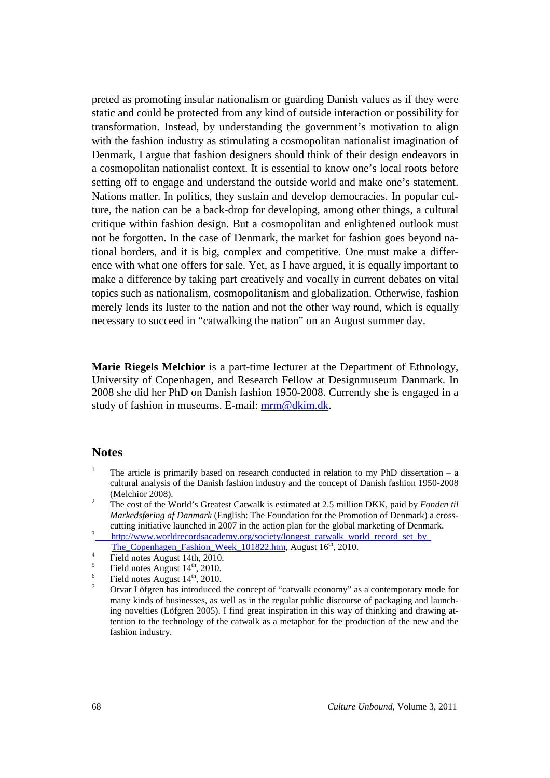preted as promoting insular nationalism or guarding Danish values as if they were static and could be protected from any kind of outside interaction or possibility for transformation. Instead, by understanding the government's motivation to align with the fashion industry as stimulating a cosmopolitan nationalist imagination of Denmark, I argue that fashion designers should think of their design endeavors in a cosmopolitan nationalist context. It is essential to know one's local roots before setting off to engage and understand the outside world and make one's statement. Nations matter. In politics, they sustain and develop democracies. In popular culture, the nation can be a back-drop for developing, among other things, a cultural critique within fashion design. But a cosmopolitan and enlightened outlook must not be forgotten. In the case of Denmark, the market for fashion goes beyond national borders, and it is big, complex and competitive. One must make a difference with what one offers for sale. Yet, as I have argued, it is equally important to make a difference by taking part creatively and vocally in current debates on vital topics such as nationalism, cosmopolitanism and globalization. Otherwise, fashion merely lends its luster to the nation and not the other way round, which is equally necessary to succeed in "catwalking the nation" on an August summer day.

**Marie Riegels Melchior** is a part-time lecturer at the Department of Ethnology, University of Copenhagen, and Research Fellow at Designmuseum Danmark. In 2008 she did her PhD on Danish fashion 1950-2008. Currently she is engaged in a study of fashion in museums. E-mail: mrm@dkim.dk.

#### **Notes**

- 1 The article is primarily based on research conducted in relation to my PhD dissertation – a cultural analysis of the Danish fashion industry and the concept of Danish fashion 1950-2008 (Melchior 2008).
- 2 The cost of the World's Greatest Catwalk is estimated at 2.5 million DKK, paid by *Fonden til Markedsføring af Danmark* (English: The Foundation for the Promotion of Denmark) a crosscutting initiative launched in 2007 in the action plan for the global marketing of Denmark.
- 3 http://www.worldrecordsacademy.org/society/longest\_catwalk\_world\_record\_set\_by\_ The\_Copenhagen\_Fashion\_Week\_101822.htm, August 16<sup>th</sup>, 2010.
- 4 Field notes August 14th, 2010.
- 5 Field notes August  $14<sup>th</sup>$ , 2010.
- 6 Field notes August  $14<sup>th</sup>$ , 2010.
- 7 Orvar Löfgren has introduced the concept of "catwalk economy" as a contemporary mode for many kinds of businesses, as well as in the regular public discourse of packaging and launching novelties (Löfgren 2005). I find great inspiration in this way of thinking and drawing attention to the technology of the catwalk as a metaphor for the production of the new and the fashion industry.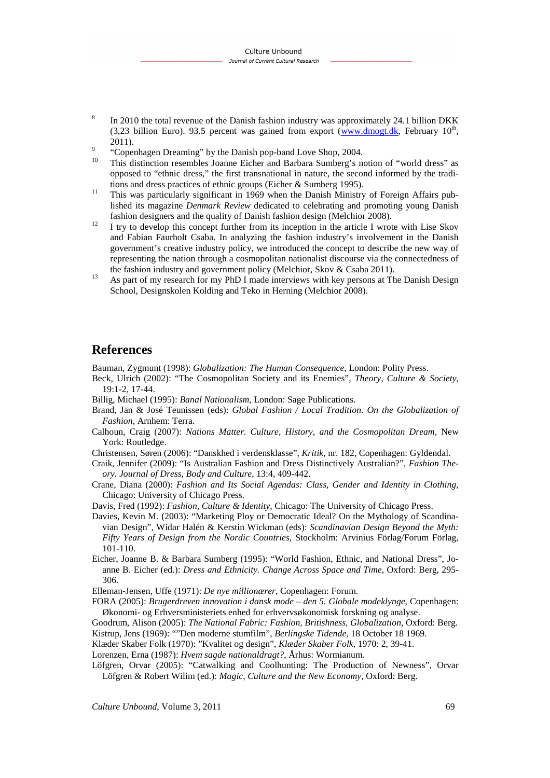- 8 In 2010 the total revenue of the Danish fashion industry was approximately 24.1 billion DKK  $(3,23)$  billion Euro). 93.5 percent was gained from export (www.dmogt.dk, February 10<sup>th</sup>, 2011).
- 9 "Copenhagen Dreaming" by the Danish pop-band Love Shop, 2004.
- <sup>10</sup> This distinction resembles Joanne Eicher and Barbara Sumberg's notion of "world dress" as opposed to "ethnic dress," the first transnational in nature, the second informed by the traditions and dress practices of ethnic groups (Eicher & Sumberg 1995).
- <sup>11</sup> This was particularly significant in 1969 when the Danish Ministry of Foreign Affairs published its magazine *Denmark Review* dedicated to celebrating and promoting young Danish fashion designers and the quality of Danish fashion design (Melchior 2008).
- <sup>12</sup> I try to develop this concept further from its inception in the article I wrote with Lise Skov and Fabian Faurholt Csaba. In analyzing the fashion industry's involvement in the Danish government's creative industry policy, we introduced the concept to describe the new way of representing the nation through a cosmopolitan nationalist discourse via the connectedness of the fashion industry and government policy (Melchior, Skov & Csaba 2011).
- <sup>13</sup> As part of my research for my PhD I made interviews with key persons at The Danish Design School, Designskolen Kolding and Teko in Herning (Melchior 2008).

### **References**

Bauman, Zygmunt (1998): *Globalization: The Human Consequence*, London: Polity Press.

- Beck, Ulrich (2002): "The Cosmopolitan Society and its Enemies", *Theory, Culture & Society*, 19:1-2, 17-44.
- Billig, Michael (1995): *Banal Nationalism*, London: Sage Publications.
- Brand, Jan & José Teunissen (eds): *Global Fashion / Local Tradition. On the Globalization of Fashion*, Arnhem: Terra.
- Calhoun, Craig (2007): *Nations Matter. Culture, History, and the Cosmopolitan Dream*, New York: Routledge.
- Christensen, Søren (2006): "Danskhed i verdensklasse", *Kritik*, nr. 182, Copenhagen: Gyldendal.
- Craik, Jennifer (2009): "Is Australian Fashion and Dress Distinctively Australian?", *Fashion Theory. Journal of Dress, Body and Culture*, 13:4, 409-442.
- Crane, Diana (2000): *Fashion and Its Social Agendas: Class, Gender and Identity in Clothing*, Chicago: University of Chicago Press.
- Davis, Fred (1992): *Fashion, Culture & Identity*, Chicago: The University of Chicago Press.
- Davies, Kevin M. (2003): "Marketing Ploy or Democratic Ideal? On the Mythology of Scandinavian Design", Widar Halén & Kerstin Wickman (eds): *Scandinavian Design Beyond the Myth: Fifty Years of Design from the Nordic Countries*, Stockholm: Arvinius Förlag/Forum Förlag, 101-110.
- Eicher, Joanne B. & Barbara Sumberg (1995): "World Fashion, Ethnic, and National Dress", Joanne B. Eicher (ed.): *Dress and Ethnicity. Change Across Space and Time*, Oxford: Berg, 295- 306.
- Elleman-Jensen, Uffe (1971): *De nye millionærer*, Copenhagen: Forum.
- FORA (2005): *Brugerdreven innovation i dansk mode den 5. Globale modeklynge*, Copenhagen: Økonomi- og Erhversministeriets enhed for erhvervsøkonomisk forskning og analyse.
- Goodrum, Alison (2005): *The National Fabric: Fashion, Britishness, Globalization*, Oxford: Berg.
- Kistrup, Jens (1969): ""Den moderne stumfilm", *Berlingske Tidende*, 18 October 18 1969.
- Klæder Skaber Folk (1970): "Kvalitet og design", *Klæder Skaber Folk*, 1970: 2, 39-41.
- Lorenzen, Erna (1987): *Hvem sagde nationaldragt?*, Århus: Wormianum.
- Löfgren, Orvar (2005): "Catwalking and Coolhunting: The Production of Newness", Orvar Löfgren & Robert Wilim (ed.): *Magic, Culture and the New Economy*, Oxford: Berg.